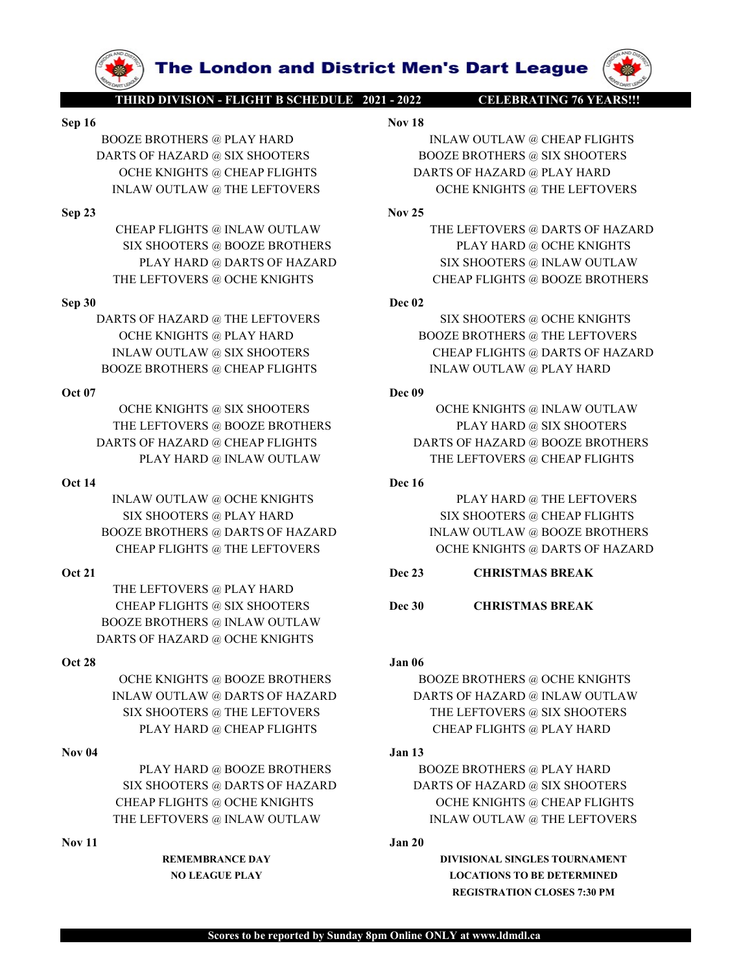THE LEFTOVERS @ PLAY HARD BOOZE BROTHERS @ INLAW OUTLAW DARTS OF HAZARD @ OCHE KNIGHTS

DARTS OF HAZARD @ CHEAP FLIGHTS<br>
OR 14<br>
NEAN OUTLAW OUTLAW THE LEFTOVERS @ CHEAP FLIGHTS<br>
OR 14<br>
NEAN OUTLAW @ OCHE KNIGHTS<br>
SIX SHOOTERS @ DAY HARD<br>
SIX SHOOTERS @ DAY HARD<br>
OGZE BROTHERS @ DAY HARD<br>
OGZE BROTHERS @ DAY THE LEFTOVERS @ INLAW OUTLAW @ DATEST MAND<br>
TEAM FLIGHTS @ INLAW OUTLAW AND<br>
OVER BROTHERS @ INLAW OUTLAW INCOUNTAW BOOZE BROTHERS<br>
CHEAP FLIGHTS @ INLAW OUTLAW IN THE LEFTOVERS & INLAW OUTLAW AS INCOURS<br>
OCHE KNIGHTS @ IN BOOZE BROTHERS @ DARTS OF HAZARD<br>
ORLEAP FLUGHTS @ THE LEFTOVERS<br>
ORLEAP ELEGY DERE SUATE OF ENGIGHTS © DARTS OF HAZARD<br>
THE LEFTOVERS ARE AN THE LEFTOVERS<br>
DOCZE BROTHERS @ ILAW OUTLAW<br>
DARTS OF HAZARD @ OCHE KNIGHTS<br>
OR

NLAW OUTLAW @ OCHE KNIGHTS<br>
SIX SHOOTERS @ PLAY HARD<br>
OZE BROTHERS @ DARTS OF HAZARD<br>
CHEAP FLIGHTS @ THE LEFTOVERS<br>
CHEAP FLIGHTS @ THE LEFTOVERS<br>
THE LEFTOVERS @ PLAY HARD<br>
DE 23<br>
CHEAP FLIGHTS @ SIX SHOOTERS<br>
THE LEFTOV

The London and District Men's Dart League<br>
THIRD DIVISION - FLIGHT B SCHEDULE 2021 - 2022<br>
Nov 18<br>
NOZE BROTHERS @ PLAY HARD<br>
NEAW OUTLAW @ CHEAP FLIGHTS<br>
OCHE KNIGHTS @ CHEAP FLIGHTS<br>
OCHE KNIGHTS @ CHEAP FLIGHTS<br>
DARTS O **Sep 16**<br> **Sep 16**<br> **Sep 16**<br> **Sep 16**<br> **Sep 16**<br> **Sep 16**<br> **Sep 16**<br> **Sep 16**<br> **Sep 16**<br> **Sep 16**<br> **Sep 16**<br> **Sep 16**<br> **Sep 16**<br> **Sep 16**<br> **Sep 16**<br> **Sep 16**<br> **Sep 16**<br> **Sep 16**<br> **Sep 16**<br> **Sep 16**<br> **Sep 16**<br> **Sep 16**<br> **S EXAMPLE AND THE LONGON AND CHEAP FLIGHT B SCHEDULE 2021 - 2022**<br>
BOOZE BROTHERS @ PLAY HARD INLAW OUTLAW @ CHEAP FLIGHTS<br>
DARTS OF HAZARD @ SIX SHOOTERS BOOZE BROTHERS @ SIX SHOOTERS<br>
INLAW OUTLAW @ THE LEFTOVERS DARTS OF **EXAMPLE SCHEME ARTS OF HAZARD WARRENT CONSUMING SURFERS OF HAZARD WARRY.**<br> **DARTS OF HAZARD @ SIX SHOOTERS**<br>
DARTS OF HAZARD @ SIX SHOOTERS<br>
OCHE KNIGHTS @ CHEAP FLIGHTS<br>
INCREMENTS @ CHEAP FLIGHTS<br>
INCREMENTS @ SIX SHOOT The London and District Men's Dart League<br>
FIREDDIVISION FIAGHTES CHEAP ELET DULE 2021 - 2022<br>
Nov 18<br>
NEAW OUTLAW @ CHEAP FLIGHTS<br>
OCHE KNIGHTS @ SIX SHOOTERS<br>
NEAR OCHE KNIGHTS @ CHEAP FLIGHTS<br>
NEAR PLIGHTS @ INLAW OUTLA **THE LORE OF A THE LEFTONERS ON THE LEFTOVERS ON THE SET OF A THE LEFTOVERS OF A THE LEFTOVERS OF A THE LEFTOVERS OF A THE LEFTOVERS OF A THE LEFTOVERS ON THE LEFTOVERS ON THE LEFTOVERS ON THE LEFTOVERS ON THE LEFTOVERS O EXERCUSE AND THE LETOVERS @ DARIS OF HAZARD BOOZE BROTHERS @ PLAY HARD**<br>
Sep 16<br>
BOOZE BROTHERS @ PLAY HARD Nov 18<br>
DARIS OF HAZARD @ SIX SHOOTERS<br>
OCHE KNIGHTS @ CHEAP FLIGHTS<br>
INLAW OUTLAW @ CHEAP FLIGHTS<br>
INLAW OUTLAW **CHEAP FLIGHTS @ INLAW OUTLAW SCHEAP FLIGHTS @ INLAW OUTLAW & CHEAP FLIGHTS & EX SHOOTERS**<br>
CHEAP FLIGHTS @ IN SHOOTERS<br>
CHEAP FLIGHTS @ INLAW OUTLAW THE LEFTOVERS<br>
OCHE KNIGHTS @ CHEAP FLIGHTS @ INLAW OUTLAW & THE LEFTOVE **SEE BROTHERS @ PLAY HARD**<br>
SIX SHOOTERS @ BLAY HARD MOVELAW @ CHEAP FLIGHTS<br>
SIX SHOOTERS @ BAY HARD BOOZE BROTHERS @ SIX SHOOTERS<br>
SCHE KNIGHTS @ CHEAP FLIGHTS<br>
HEAP FLIGHTS @ CHEAP FLIGHTS<br>
BOOZE BROTHERS @ SIX SHOOTER **PRODUCED AND THE LETTOVERS OF HAZARD WEIGHTS OF HAZARD WEIGHTS OF HAZARD CHEAP TLIGHTS OF HAZARD AND DOZE BROTHERS @ IN SHOOTERS WEREAP TLIGHTS WELL AS A FLIGHTS CHEAP TLIGHTS CHEAP TLIGHTS ARE ENGINEER OF HAZARD AND CHA THE LEFTOVERS @ CHE AND GUING THE REFTOVERS DEAT SOLEN BARBOW CHEAP FLIGHTS CHEAP FLIGHTS CHEAP FLIGHTS CHEAP FLIGHTS CHEAP FLIGHTS CHEAP FLIGHTS CHEAP FLIGHTS CHEAP FLIGHTS CHEAP FLIGHTS CHEAP FLIGHTS AND GUILE ENGINEERS** 

**EXERCISE AND ARTS OF HAZARD @ THE LEFTOVERS @ CHE KNIGHTS (SCEEN AND DRAFTS OF HAZARD & SIX SHOOTERS (SCEEN AND DRAFTS OF HAZARD & SIX SHOOTERS (SCEEN AND DRAFTS OF HAZARD & SIX SHOOTERS (SCEEN AND DRAFTS OF HAZARD AND DR THE LONGER CHEAP TREFROM AND ARTS OF HAZARD AND ARTS OF HAZARD AND ARTS OF HAZARD AND ARTS OF HAZARD SIX SHOOTERS DARTS OF HAZARD AND SUNCE BROTHERS AND SURVIVELAL SETTING THE LEFTOVERS CHEAP FLIGHTS SIX SHOOTERS CHEAP F THE LEORICO STATE IS EXAMOUTLANCE AND ARREST OF HAZARD SIX SHOOTERS @ PLAY HARD SIX SHOOTERS @ THE LEFTOVERS @ THE LEFTOVERS @ THE LEFTOVERS @ THE LEFTOVERS @ THE LEFTOVERS @ THE LEFTOVERS @ THE LEFTOVERS @ THE LEFTOVERS THE LETTORES CHEAP FLIGHTS AND STANDARD DESCRIPTIONS CHEAP FLIGHTS AREAS CHEAP FLIGHTS AREAS CHEAP FLIGHTS AREAS CHEAP FLIGHTS CHEAP FLIGHTS CHEAP FLIGHTS CHEAP FLIGHTS CHEAP FLIGHTS CHEAP FLIGHTS CHEAP FLIGHTS CHEAP FLI THE LEOTY OF SEX SHOTHERS AND SOLUTION CONSUMING AND SOLUTION**<br>
BOOZE BROTHERS @ PLAY HARD<br>
SOLUTION OF BAZARD @ SUSANDOTERS<br>
OGEN ENTORTS @ CHEAP FLIGHTS<br>
CHE ENTORTS @ CHEAP FLIGHTS & INLAW OUTLAW & THE LEFTOVERS<br>
CHEAP

ESPAIR AND BOOZE BROTHERS @ PLAY HARD<br>
Nov IR<br>
BOOZE BROTHERS @ PLAY HARD<br>
DARTS OF HAZARD @ SIX SHOOTERS<br>
OCTE EXIGHTS & CHEAP FLIGHTS<br>
IN AW OUTLAW & THE LEFTOVERS<br>
SCHE KNIGHTS @ CHEAP FLIGHTS<br>
SCHE KNIGHTS & NORTROTHER THE ENDIRE SET AN ARD SOLUTION WAS CREAT PLOTING WAS SERVED ON A SIX SHOOTERS WANT OUTLAW GET AN ARD CARRIENTS @ INLAY MAD WAS UNAN OUTLAW THE LEFTOVERS @ INLAY MADE STAND SIX SHOOTERS OCHE KNIGHTS OCHE KNIGHTS THAT ARE PL THE LEFTOVERS @ BOOZE BROTHERS PLAY HARD @ SIX SHOOTERS DARTS OF HAZARD @ CHEAP FLIGHTS DARTS OF HAZARD @ BOOZE BROTHERS PLAY HARD @ INLAW OUTLAW @ OCHE ENGINES<br>
PLAY HARD @ IN A HARD<br>
COVERGITIES @ IN SHOOTERS<br>
WOUTLAW @ THE LEFTOVERS<br>
APELIGHTS<br>
CHEAP FLIGHTS<br>
CHEAP FLIGHTS<br>
CHEAP FLIGHTS<br>
CHEAP FLIGHTS<br>
CHEAP FLIGHTS<br>
CHEAP FLIGHTS<br>
CHEA OCHE KNIGHTS @ CHE REIGNIS DE NEAR (NEAR CHE REIGNIS & THE LEFTOVERS<br>
SPRINCHITS @ INLAW OUTLAW<br>
STEEL ENGERE RIGHTS & THE LEFTOVERS SPARTS OF HAZARD<br>
STEEL ENGERE SPACE IN THE LEFTOVERS SPARTS OF HAZARD<br>
STEEL EVERY BANK INLAW OUTLAW @ THE LEFTOVERS<br>
IN SURVENUESE (PROVIDENCE BROTHERS
THE LEFTOVERS

THARD @ OCHE KNIGHTS<br>
THE LEFTOVERS

THE LEFTOVERS

IN AN OUTLAW POLE CONTROLLAND<br>
IN THE LEFTOVERS<br>
IN SURVENUES IN SURVENUES<br>
IN AN OUTLAW NEAP TLIGHTS @ INLAW OUTLAW<br>
SIX SHOOTERS @ PLAY BOOZE BROTHERS<br>
FLAY HARD @ DARTS OF HAZARD<br>
ELEFTOVERS @ CHE KNIGHTS<br>
TE LEFTOVERS @ CHE KNIGHTS<br>
TE LEFTOVERS @ CHE KNIGHTS<br>
CHE KNIGHTS @ PLAY HARD<br>
DOCE EROTHERS @ THE CHE NIGHTS @ ROOZE BROTHERS ANATS OF HAZARD SURVEY AND THE LEFTOVERS @ DARTS OF HAZARD PLAY HARD SCHE KNIGHTS AND CHEAP FLIGHTS @ BOOZE BROTHERS OCHE KNIGHTS @ BOOZE BROTHERS OF HAZARD BOOZE BROTHERS (SCHE KNIGHTS & SIX S CHEAP FLIGHTS @ THAY HARD @ THE LEFTOVERS @ THAY HARD @ DARTS @ CHE KNIGHTS<br>
TRAY HARD @ DARTS OF HAZARD<br>
THE LEFTOVERS @ OCHE KNIGHTS<br>
NEW OUTLAW @ SIX SHOOTERS @ THE LEFTOVERS @ DOZE BROTHERS<br>
NEW OUTLAW @ SIX SHOOTERS @ PLAY HARD @ DARTS OF HAZARD<br>
SIX SHOOTERS @ NOCE BROTHERS<br>
SPECIFIC VERZARD @ THE LEFTOVERS<br>
DARTS OF HAZARD @ THE LEFTOVERS<br>
OCHE KNIGHTS @ PLAY HARD<br>
OCTE KNIGHTS @ PLAY HARD<br>
BOOZE BROTHERS @ CHE KNIGHTS<br>
DOCE BROTHERS **EXAMP @ THE LEFTOVERS**<br>
CHE KNIGHTS @ PLAY HARD<br>
NLAW OUTLAW @ SIX SHOOTERS<br>
NLAW OUTLAW @ SIX SHOOTERS<br>
OCKE BROTHERS @ CHEAP FLIGHTS<br>
OCKE ENGINES @ DECE ENGINES (DEAP FLIGHTS (DEAP FLIGHTS (DEAP FLIGHTS OF HAZARD @ SI IN LAW OUTLAW @ SIX SHOOTERS (THEAP FLIGHTS @ DARTS OF HAZARD<br>
OCTE REVIGHTS @ NEAP FLIGHTS (DARTS OF HAZARD OCTE NEW COTTING TO A THE LEFTOVERS 20X SINCOTERS<br>
THE LEFTOVERS @ RUAW OUTLAW THE LEFTOVERS (PLAN BOLDERS<br>
DART OCHE KNIGHTS @ BOOZE BROTHERS BOOZE BROTHERS @ OCHE KNIGHTS INLAW OUTLE NIGHTS @ SIX SHOOTERS<br>
THE LEFTOVERS @ BOOZE BROTHERS<br>
INLAW OUTLAW @ CHEAP FLIGHTS<br>
INLAW OUTLAW @ CHEAP FLIGHTS<br>
INLAW OUTLAW @ OCHE KNIGHTS<br>
INLAW OUTLAW @ OCHE KNIGHTS<br>
INLAW OUTLAW @ OCHE KNIGHTS<br>
SIX SH SIX SHOOTERS WE CHE KNIGHTS @ INLAW OUTLAW<br>
TELEFTOVERS @ IDOZE BROTHERS<br>
THE LEFTOVERS @ THAY HARD @ INAVERS FIX SHOOTERS<br>
THAY HARD @ INAW OUTLAW<br>
THE LEFTOVERS @ CHEAP FLIGHTS<br>
SIX SHOOTERS @ THAY HARD<br>
THE LEFTOVERS @

TERNATION BY A SHOOTERS (FRAMER) AND REALLY HARD (CHEAP FLIGHTS CHEAP FLIGHTS (FRAMER) ON A SHOOTERS (CHEAP FLIGHTS CHEAP FLIGHTS CHEAP FLIGHTS CHEAP FLORING CHEAP FLORING CHEAP FLORING CHEAP FLORING CHEAP FLORING CHEAP CH PLAY HARD @ INLAW OUTLAW<br>
WOUTLAW @ OCHE KNIGHTS<br>
SHOOTERS @ PLAY HARD<br>
PLAY HARD<br>
SIX SHOOTERS @ PLAY HARD<br>
SIX SHOOTERS @ CHEAP FLIGHTS<br>
AP FLIGHTS @ DATS OF HAZARD<br>
Dec 23<br>
CHEAP FLIGHTS @ PLAY HARD<br>
Dec 23<br>
CHEAP FLIGH SIX SHOOTERS @ DARTS OF HEAP ELESTOVERS @ DARTS OF HAZARD<br>
SIX SHOOTERS @ DARTS OF HAZARD<br>
SIX SHOOTERS @ CHEAP FLIGHTS<br>
HEAP FLIGHTS @ THE LEFTOVERS<br>
DEE DARTS OF HAZARD<br>
DEE 23 CHEARTMAS BREAK<br>
DEE DARTS OF HAZARD<br>
DEE R LIGHTS @ THE LEFTOVERS<br>
TOVERS @ PLAY HARD<br>
TOVERS @ INLAW OUTLAW<br>
REMENTMAS BREAK<br>
THENS @ INLAW OUTLAW<br>
MAZARD @ OCHE KNIGHTS<br>
MAZARD @ OCHE KNIGHTS<br>
MOZE BROTHERS<br>
DOOZE BROTHERS<br>
DOOZE BROTHERS<br>
THE LEFTOVERS @ THE LEF NERS @ FLAY HARD<br>
NO SUX SHOOTERS<br>
NO CHE KNOTERS<br>
NO CHE KNOTERS<br>
NO CHE KNOTERS<br>
NO CHE KNOTERS<br>
NO CHE KNOTERS<br>
NO DO CHE ENGUE PLAY HAD<br>
DO DO DO BROTHERS<br>
THE LEFTOVERS @ IN AW OUTLAW<br>
OTERS @ THE LEFTOVERS<br>
NO TERAP

REGISTRATION CLOSES 7:30 PM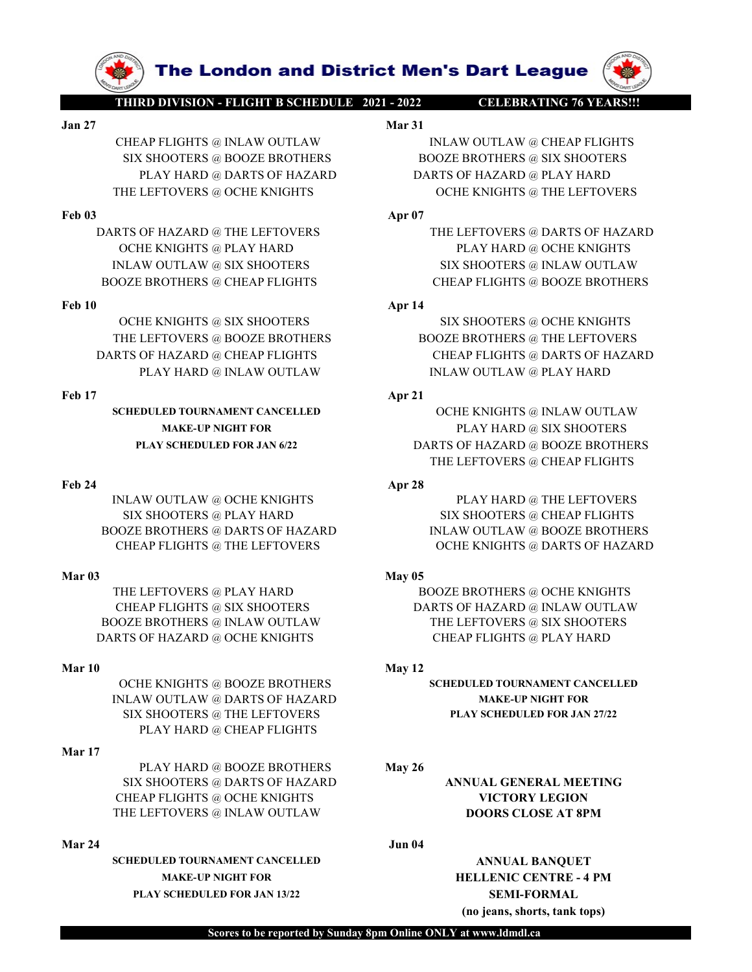

The London and District Men's Dart League<br>
THIRD DIVISION - FLIGHT B SCHEDULE 2021 - 2022<br>
Mar 31<br>
SIX SHOOTERS @ BOOZE BROTHERS BOOZE BROTHERS @ SIX SHOOTERS<br>
PLAY HARD @ DARTS OF HAZARD DARTS OF HAZARD @ PLAY HARD **The London and District Men's Dart League**<br>
THIRD DIVISION - FLIGHT BSCHEDULE 2021 - 2022<br>
Jan 27<br>
Jan 27<br>
CHEAP FLIGHTS © INLAW OUTLAW<br>
SIX SHOOTERS © BOOZE BROTHERS © BOOZE BROTHERS © SIX SHOOTERS<br>
PLAY HARD © DARTS OF THIRD DIVISION - FLIGHT B SCHEDULE 2021 - 2022<br>
CELEBRATING 76 YEARSH!<br>
CHEAP FLIGHTS @ INLAW OUTLAW Mar 31<br>
SIX SHOOTERS @ BOOZE BROTHERS BOOZE BROTHERS @ SIX SHOOTERS<br>
PLAY HARD @ DARTS OF HAZARD DARTS OF HAZARD @ PLAY H THE **LONGING AND THE LEFTOVERS @ INCOLLU**<br>
THE LONGING AND THE LEFTOVERS **WEAP FLIGHTS**<br>
SIX SHOOTERS @ BOOZE BROTHERS<br>
PLAY HARD @ DARTS OF HAZARD<br>
THE LEFTOVERS @ OCHE KNIGHTS<br>
THE LEFTOVERS @ OCHE KNIGHTS<br>
OCHE KNIGHTS **FREE LORIGIN 2013**<br> **FREE LORIGIN 2013 APP 1998 APP 1998 APP 1998 APP 1998 APP 1998 APP 1998 APP 1998 APP 1998 APP 1998 APP 1998 APP 1998 APP 1998 APP 1998 APP 1998 APP 1998 APP 1998 APP 1998 APP 1998 APP 1998 APP 1998 A THIRD DIVISION = RIGHT B SCHEDULE 2021 - 2022**<br>
CHEAP FLIGHTS @ INLAW OUTLAW Mar 31<br>
CHEAP FLIGHTS @ INLAW OUTLAW Mar 31<br>
SIX SHOOTERS @ BOOZE BROTHERS MOZE BROTHERS @ SIX SHOOTERS<br>
PLAY HARD @ DARTS OF HAZARD @ DARTS OF **INLAW OUTLAW ARE CHEAP FUGHTS @ INLAW OUTLAW ARE CHEAP FUGHTS & INLAW OUTLAW ARE CHEAP FUGHTS SIX SHOOTERS @ INLAW OUTLAW ARE CHEAP FUGHTS SIX SHOOTERS @ INLAW OUTLAW ARE CHEAP FUGHTS APPROXIMATELY CHEAP FUGHTS ON THE LEF EVALUATE CHEAP FLIGHTS @ NEAF FLIGHTS @ NEAP FLIGHTS @ NEAP FLIGHTS @ NEAR FLIGHTS & DOOZE BROTHERS & CHEAP FLIGHTS & SIX SHOOTERS & SIX SHOOTERS & SIX SHOOTERS & SIX SHOOTERS & CHEAP FLIGHTS (SIX SHOOTERS APTILE EXECUTED** 

**EXERCISE THE LENGTHS ON SECURE ANGLES AND SERVICE SERVICES**<br>
THE CHEAP FLIGHTS @ INLAW OUTLAW MAT 31<br>
CHEAP FLIGHTS @ INLAW OUTLAW MAT 31<br>
SEX SHOOTERS & BOOZE BROTHERS<br>
FLAY HARD @ DARTS OF HAZARD<br>
FE LEFTOVERS & OCHE KN **THE LONDON AND CHEAP FLIGHTS OF HAZARD MARTS OF HAZARD AND CHEAP FLIGHTS CHEAP FLIGHTS CHEAP FLOW CHEAP FLOW CHEAP FLOW CHEAP FLOW CHEAP FLOW CHEAP FLOW CHEAP FLOW CHEAP FLOW CHEAP FLOW CHEAP FLOW CHEAP FLOW CHEAP FLOW C FRIRED MISSION 3 LOTE (FRIRED MISSION AND TRACTABLE AND HAND MATERIAL SET OF A PRICE ART ELECTION BY A PRICE ARE PLIGHTS SERIES FLAY HARD @ DARTS OF HAZARD DARTS OF HAZARD COHE KNIGHTS (FRIRED MISSION APPLY THE LEFTOVERS**  $\begin{tabular}{l|c|c|c|c} \multicolumn{4}{l}{\textbf{FLAY HARD @ DARTS OF HAZARD @ PLAY HARD}\\ \hline \multicolumn{4}{l}{\textbf{FHE LEFTOVERS @ CCHE KNIGHTS} } & \multicolumn{4}{l}{\textbf{DATE S OF HAZARD @ THE LEFTOVERS} } & \multicolumn{4}{l}{\textbf{FHE LEFTOVERS} } & \multicolumn{4}{l}{\textbf{FHE LEFTOVERS} } & \multicolumn{4}{l}{\textbf{FHE LEFTOVERS} } & \multicolumn{4}{l}{\textbf{FHE LEFTOVERS} } & \multicolumn{4}{l}{\textbf{FHE LEFTOVERS$ INLAW OUTLAW @ SIX SHOOTERS = SIX SHOOTERS @ NILAW OUTLAW<br>
NOOZE RROTHERS @ CHEAP PLIGHTS = CHEAP PLIGHTS @ BOOZE RROTHERS <br>
THE LEFTOVERS @ NS SHOOTERS = SIX SHOOTERS = SIX SHOOTERS THE LEFTOVERS THE LEFTOVERS = NAT HARD

INLAW OUTLAW @ DARTS OF HAZARD MAKE-UP NIGHT FOR SIX SHOOTERS @ THE LEFTOVERS PLAY SCHEDULED FOR JAN 27/22 PLAY HARD @ CHEAP FLIGHTS BOOZE BROTHERS @ DARTS OF HAZARD<br>
Mar 04<br>
Mar 04<br>
Mar 04<br>
THE LEFTOVERS @ THAZARD<br>
METRIFICATIS @ THE AFTENDING PRICHALIS<br>
THE LEFTOVERS @ PLAY HARD<br>
CHE PLIGHTS @ NX SHOOTERS<br>
CHE PLIGHTS @ NX SHOOTERS<br>
DARTS OF HAZARD @

# Mar 17

PLAY HARD @ BOOZE BROTHERS May 26 SIX SHOOTERS @ DARTS OF HAZARD **ANNUAL GENERAL MEETING** CHEAP FLIGHTS @ OCHE KNIGHTS VICTORY LEGION THE LEFTOVERS @ INLAW OUTLAW DOORS CLOSE AT 8PM

SCHEDULED TOURNAMENT CANCELLED ANNUAL BANQUET MAKE-UP NIGHT FOR **HELLENIC CENTRE - 4 PM** PLAY SCHEDULED FOR JAN 13/22 SEMI-FORMAL

**SPACE OF A 2014 OF A 2014 OF A 2014 OF A 2014 OF A 2014 OF A 2014 OF A 2014 OF A 2014 OF A 2014 OF A 2014 OF A 2014 OF A 2014 OF A 2014 OF A 2014 OF A 2014 OF A 2015 BOOZE BROTHERS @ SIX SHOOTERS BOOZE BROTHERS @ SIX SHO PRODUVISION - FLIGHT B SCHEDULE 2021 - 2022**<br>
PRODUVISION - FLIGHT B SCHEDULE 2021 - 2022<br>
Mar 31<br>
Mar 31<br>
MARTS @ BOOZE BROTHERS @ BOOZE BROTHERS @ SIX SHOOTERS<br>
PLAY HARD @ DARTS OF HAZARD<br>
LEFTOVERS @ OCHE KNIGHTS<br>
OF **THE LEART COMPRESS COCHE ENTERTS CORPORATIONS CONSUMING A SACTOR CONSUMISION CONSUMISION CONSUMISION CONSUMISION CONSUMISION CONSUMISION CONSUMISION CONSUMISION CONSUMISION CONSUMISION CONSUMISION CONSUMISION CONSUMISION** 

**EXERCISE ARE ARENAL DESPENDENT AND AREAL SERVER AND THE AP ELGHTS @ INLAW OUTLAW MAT 31**<br>
SIX SHOOTERS @ IN AW OUTLAW<br>
SIX SHOOTERS @ SIX SHOOTERS<br>
PLAY HARD @ DARTS OF HAZARD<br>
HE LEFTOVERS @ OCHE KNIGHTS<br>
THE LEFTOVERS @ **THE LEFTOVERS @ BOOZE BROTHERS**<br>
THE LEFTOVERS @ BOOZE BROTHERS<br>
THE LEFTOVERS @ BOOZE BROTHERS **BOOZE BROTHERS**<br>
THE LEFTOVERS @ BOOZE BROTHERS **DESCRIPTION**<br>
THE LEFTOVERS @ BOOZE BROTHERS **ADVITION**<br>
THE LEFTOVERS @ T **FRAME ARREAD AND SCREED MARINE (SCREED AND SCREED AND SCREED AND SCREED AND SCREED AND SCREED TOWARD (SCREED AND SCREED AND SCREED AND SCREED AND SCREED AND SCREED AND SCREED AND SCREED AND SCREED AND SCREED AND SCREED A** 

SCHEDULED TOURNAMENT CANCELLED OCHE KNIGHTS @ INLAW OUTLAW MAKE-UP NIGHT FOR **PLAY HARD @ SIX SHOOTERS** PLAY SCHEDULED FOR JAN 6/22 DARTS OF HAZARD @ BOOZE BROTHERS THE LEFTOVERS @ CHEAP FLIGHTS THE LEFTOVERS @ OCHE KNIGHTS<br>
OCHE KNIGHTS @ PLAY HARD<br>
OCHE KNIGHTS @ PLAY HARD<br>
NAVAR QUARTERS<br>
PLAY HARD<br>
NAVAR @ SOCHE KNIGHTS<br>
NAVAR @ SOCHE KNIGHTS<br>
NAVAR QUARTERS<br>
OCHE KNIGHTS @ SUAR FLIGHTS<br>
OCHE KNIGHTS @ SUAR FL THE LEFTOVERS @ THE LEFTOVERS @ DATIS OF HAZARD @ THE LEFTOVERS @ DATIS OF HAZARD SIX SHOOTERS WARD SIX SHOOTERS WARD SIX SHOOTERS WARD SIX SHOOTERS WARD SIX SHOOTERS WARD SIX SHOOTERS APP 1<br>
SIX SHOOTERS @ CHEAP FLIGHTS DARTS OF HAZARD @ THE LEFTOVERS WELL AVERE WITHOUT AN ARRY OCHE ENIGHTS INLAW OUTLAW GOLD ENOURERS SO SUSSESS ARROSTERS SOME ENIGHTS OF HAZARD ON EVEL ENIGHTS OF HAZARD PLAY HARD & ISLAM FUGHTS OF HAZARD PLAY HARD & INLAW THE LEFTOVERS (FILE LEFTOVERS (FILE LEFTOVERS AND SOLUTE NIGHTS (FILE AND MAKE DOTE RIGHTS AND COLLE ENGINES (FILE AND COLLE ENGINES OF HAZARD CHE ENGINES (FILE AT HARD & CHEAP FLIGHTS (FILE AND THE LEFTOVERS AND PLAY HARD THE LEFTOVERS @ CHEAP FLIGHTS **and the CHEAP CONTRIGUES**<br>
THE LEFTOVERS **a** BOOZE BROTHERS<br>
THE LEFTOVERS **a** BOOZE BROTHERS<br>
IN AN OUTLAWD @ CHEAP FLIGHTS<br>
PLAY HARD @ UNLAW OUTLAW<br> **AN FLAY HARD & UNLAW OUTLAW**<br>
SCIEDUL CHE KNIGHTS @ SIX SHOOTERS APP 14<br>
SIX SHOOTERS @ CHE KNIGHTS<br>
THE LEFTOVERS @ BOOZE BROTHERS <br>
TLAY HARD @ INLAW OUTLAW<br>
TLAY HARD @ INLAW OUTLAW<br>
MAKE-UP NGEIT FOR JANK FOR THE LEFTOVERS (PLAY HARD<br>
MAKE-UP NGEIT FOR JAN OCHE KNIGHTS @ INLARD BOOZE BROTHERS @ INLAW OUTLANED MARTS OF HAZARD MARTS OF HAZARD MATS OF HAZARD AND SURFACE AND HAND MAKE-UP NOTHERS ARTS OF HAZARD APPEAR AND MANUSCRIPTION TO THE LIFTOVERS PLAY HARD APPEAR ON THE LI OCHE KNIGHTS OF HAZARD SIX SHOOTERS (STERENGHIS OF HAZARD BROZE REGUERANCE SOFTERS CHEAP FLIGHTS CHEAP FLIGHTS CHEAP FLIGHTS CHEAP FLIGHTS CHEAP FLIGHTS CHEAP FLIGHTS CHEAP FLIGHTS CHEAP FLIGHTS CHEAP TO CHE KNIGHTS CHEAP DARTS OF HAZARD (CHEAP FLIGHTS (THAP FLIGHTS (CHEAP FLIGHTS (DARTS OF HAZARD<br>
FEAT IN HARD (CHEAP KIND OUTLAW<br>
MEAN OUTLAW IN THE CHEAP CONTROL<br>
MARK-UP MGIFTFORE<br>
MARK-UP MGIFTFOR<br>
MARK-UP MGIFTFOR<br>
MARK-UP MGIFTFOR<br>
MAR

OCHE KNIGHTS @ BOOZE BROTHERS SCHEDULED TOURNAMENT CANCELLED

(no jeans, shorts, tank tops)

Scores to be reported by Sunday 8pm Online ONLY at www.ldmdl.ca